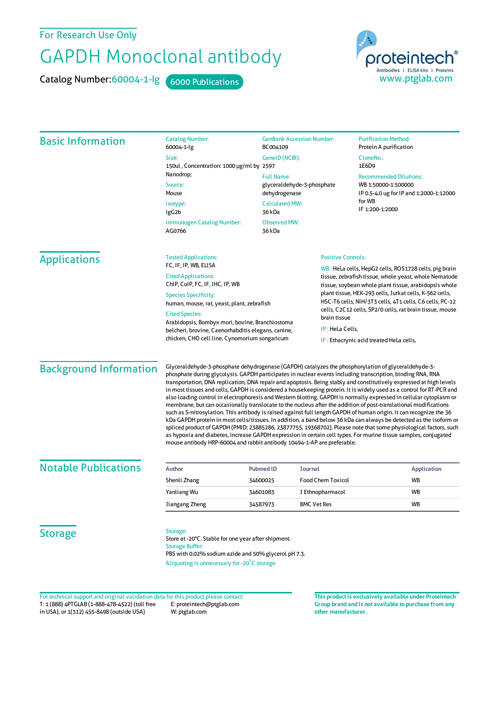# For Research Use Only

# GAPDH Monoclonal antibody

Catalog Number:60004-1-lg 6000 Publications



| <b>Basic Information</b>                                                                                                                                                | <b>Catalog Number:</b><br>60004-1-lg                                                                                                                                                                                                                                                                                                                                                                                                                                                                                                                                                                                                                                                                                                                                                                                                                                                                                                                                                                                                                                                                                                                                                                                                                                       | <b>GenBank Accession Number:</b><br>BC004109                                                                                                                                                                                                                                                                                                                                          |  | <b>Purification Method:</b><br>Protein A purification                                                                        |                                     |                               |
|-------------------------------------------------------------------------------------------------------------------------------------------------------------------------|----------------------------------------------------------------------------------------------------------------------------------------------------------------------------------------------------------------------------------------------------------------------------------------------------------------------------------------------------------------------------------------------------------------------------------------------------------------------------------------------------------------------------------------------------------------------------------------------------------------------------------------------------------------------------------------------------------------------------------------------------------------------------------------------------------------------------------------------------------------------------------------------------------------------------------------------------------------------------------------------------------------------------------------------------------------------------------------------------------------------------------------------------------------------------------------------------------------------------------------------------------------------------|---------------------------------------------------------------------------------------------------------------------------------------------------------------------------------------------------------------------------------------------------------------------------------------------------------------------------------------------------------------------------------------|--|------------------------------------------------------------------------------------------------------------------------------|-------------------------------------|-------------------------------|
|                                                                                                                                                                         | Size:<br>150ul, Concentration: 1000 µg/ml by 2597                                                                                                                                                                                                                                                                                                                                                                                                                                                                                                                                                                                                                                                                                                                                                                                                                                                                                                                                                                                                                                                                                                                                                                                                                          | GenelD (NCBI):                                                                                                                                                                                                                                                                                                                                                                        |  | CloneNo.:<br>1E6D9                                                                                                           |                                     |                               |
|                                                                                                                                                                         | Nanodrop;<br>Source:<br>Mouse<br>Isotype:<br>lgG <sub>2</sub> b                                                                                                                                                                                                                                                                                                                                                                                                                                                                                                                                                                                                                                                                                                                                                                                                                                                                                                                                                                                                                                                                                                                                                                                                            | <b>Full Name:</b><br>glyceraldehyde-3-phosphate<br>dehydrogenase<br><b>Calculated MW:</b><br>36 kDa                                                                                                                                                                                                                                                                                   |  | <b>Recommended Dilutions:</b><br>WB 1:50000-1:500000<br>IP 0.5-4.0 ug for IP and 1:2000-1:12000<br>for WB<br>IF 1:200-1:2000 |                                     |                               |
|                                                                                                                                                                         |                                                                                                                                                                                                                                                                                                                                                                                                                                                                                                                                                                                                                                                                                                                                                                                                                                                                                                                                                                                                                                                                                                                                                                                                                                                                            |                                                                                                                                                                                                                                                                                                                                                                                       |  |                                                                                                                              | Immunogen Catalog Number:<br>AG0766 | <b>Observed MW:</b><br>36 kDa |
|                                                                                                                                                                         | <b>Applications</b>                                                                                                                                                                                                                                                                                                                                                                                                                                                                                                                                                                                                                                                                                                                                                                                                                                                                                                                                                                                                                                                                                                                                                                                                                                                        | <b>Tested Applications:</b><br>FC, IF, IP, WB, ELISA<br><b>Cited Applications:</b><br>ChIP, CoIP, FC, IF, IHC, IP, WB<br><b>Species Specificity:</b><br>human, mouse, rat, yeast, plant, zebrafish<br><b>Cited Species:</b><br>Arabidopsis, Bombyx mori, bovine, Branchiostoma<br>belcheri, brovine, Caenorhabditis elegans, canine,<br>chicken, CHO cell line, Cynomorium songaricum |  | <b>Positive Controls:</b>                                                                                                    |                                     |                               |
| WB: HeLa cells, HepG2 cells, ROS1728 cells, pig brain<br>tissue, zebrafish tissue, whole yeast, whole Nematode<br>tissue, soybean whole plant tissue, arabidopsis whole |                                                                                                                                                                                                                                                                                                                                                                                                                                                                                                                                                                                                                                                                                                                                                                                                                                                                                                                                                                                                                                                                                                                                                                                                                                                                            |                                                                                                                                                                                                                                                                                                                                                                                       |  |                                                                                                                              |                                     |                               |
| plant tissue, HEK-293 cells, Jurkat cells, K-562 cells,<br>HSC-T6 cells, NIH/3T3 cells, 4T1 cells, C6 cells, PC-12                                                      |                                                                                                                                                                                                                                                                                                                                                                                                                                                                                                                                                                                                                                                                                                                                                                                                                                                                                                                                                                                                                                                                                                                                                                                                                                                                            |                                                                                                                                                                                                                                                                                                                                                                                       |  |                                                                                                                              |                                     |                               |
| cells, C2C12 cells, SP2/0 cells, rat brain tissue, mouse<br>brain tissue                                                                                                |                                                                                                                                                                                                                                                                                                                                                                                                                                                                                                                                                                                                                                                                                                                                                                                                                                                                                                                                                                                                                                                                                                                                                                                                                                                                            |                                                                                                                                                                                                                                                                                                                                                                                       |  |                                                                                                                              |                                     |                               |
| IP: HeLa Cells,                                                                                                                                                         |                                                                                                                                                                                                                                                                                                                                                                                                                                                                                                                                                                                                                                                                                                                                                                                                                                                                                                                                                                                                                                                                                                                                                                                                                                                                            |                                                                                                                                                                                                                                                                                                                                                                                       |  |                                                                                                                              |                                     |                               |
| IF: Ethacrynic acid treated HeLa cells,                                                                                                                                 |                                                                                                                                                                                                                                                                                                                                                                                                                                                                                                                                                                                                                                                                                                                                                                                                                                                                                                                                                                                                                                                                                                                                                                                                                                                                            |                                                                                                                                                                                                                                                                                                                                                                                       |  |                                                                                                                              |                                     |                               |
| <b>Background Information</b>                                                                                                                                           | Glyceraldehyde-3-phosphate dehydrogenase (GAPDH) catalyzes the phosphorylation of glyceraldehyde-3-<br>phosphate during glycolysis. GAPDH participates in nuclear events including transcription, binding RNA, RNA<br>transportation, DNA replication, DNA repair and apoptosis. Being stably and constitutively expressed at high levels<br>in most tissues and cells, GAPDH is considered a housekeeping protein. It is widely used as a control for RT-PCR and<br>also loading control in electrophoresis and Western blotting. GAPDH is normally expressed in cellular cytoplasm or<br>membrane, but can occasionally translocate to the nucleus after the addition of post-translational modifications<br>such as S-nitrosylation. This antibody is raised against full length GAPDH of human origin. It can recognize the 36<br>kDa GAPDH protein in most cells/tissues. In addition, a band below 36 kDa can always be detected as the isoform or<br>spliced product of GAPDH (PMID: 23885286, 23877755, 19368702). Please note that some physiological factors, such<br>as hypoxia and diabetes, increase GAPDH expression in certain cell types. For murine tissue samples, conjugated<br>mouse antibody HRP-60004 and rabbit antibody 10494-1-AP are preferable. |                                                                                                                                                                                                                                                                                                                                                                                       |  |                                                                                                                              |                                     |                               |
| Notable Dublications                                                                                                                                                    |                                                                                                                                                                                                                                                                                                                                                                                                                                                                                                                                                                                                                                                                                                                                                                                                                                                                                                                                                                                                                                                                                                                                                                                                                                                                            |                                                                                                                                                                                                                                                                                                                                                                                       |  |                                                                                                                              |                                     |                               |

| <b>Notable Publications</b> | <b>Author</b><br>Shenli Zhang | <b>Pubmed ID</b><br>34600025 | Journal<br><b>Food Chem Toxicol</b> | Application<br><b>WB</b> |
|-----------------------------|-------------------------------|------------------------------|-------------------------------------|--------------------------|
|                             | Yanliang Wu                   | 34601083                     | J Ethnopharmacol                    | <b>WB</b>                |
|                             | Jiangang Zheng                | 34587973                     | <b>BMC Vet Res</b>                  | <b>WB</b>                |

**Storage** 

#### Storage:

Store at -20°C. Stable for one year after shipment. Storage Buffer: PBS with 0.02% sodium azide and 50% glycerol pH 7.3. Aliquoting is unnecessary for -20<sup>°</sup>C storage

T: 1 (888) 4PTGLAB (1-888-478-4522) (toll free in USA), or 1(312) 455-8498 (outside USA) E: proteintech@ptglab.com W: ptglab.com Fortechnical support and original validation data forthis product please contact: **This productis exclusively available under Proteintech**

**Group brand and is not available to purchase from any other manufacturer.**